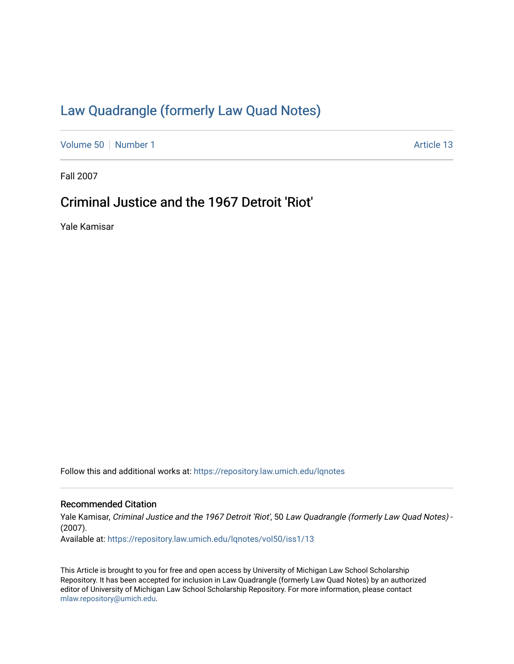# [Law Quadrangle \(formerly Law Quad Notes\)](https://repository.law.umich.edu/lqnotes)

[Volume 50](https://repository.law.umich.edu/lqnotes/vol50) [Number 1](https://repository.law.umich.edu/lqnotes/vol50/iss1) Article 13

Fall 2007

# Criminal Justice and the 1967 Detroit 'Riot'

Yale Kamisar

Follow this and additional works at: [https://repository.law.umich.edu/lqnotes](https://repository.law.umich.edu/lqnotes?utm_source=repository.law.umich.edu%2Flqnotes%2Fvol50%2Fiss1%2F13&utm_medium=PDF&utm_campaign=PDFCoverPages) 

## Recommended Citation

Yale Kamisar, Criminal Justice and the 1967 Detroit 'Riot', 50 Law Quadrangle (formerly Law Quad Notes) -(2007). Available at: [https://repository.law.umich.edu/lqnotes/vol50/iss1/13](https://repository.law.umich.edu/lqnotes/vol50/iss1/13?utm_source=repository.law.umich.edu%2Flqnotes%2Fvol50%2Fiss1%2F13&utm_medium=PDF&utm_campaign=PDFCoverPages)

This Article is brought to you for free and open access by University of Michigan Law School Scholarship Repository. It has been accepted for inclusion in Law Quadrangle (formerly Law Quad Notes) by an authorized editor of University of Michigan Law School Scholarship Repository. For more information, please contact [mlaw.repository@umich.edu.](mailto:mlaw.repository@umich.edu)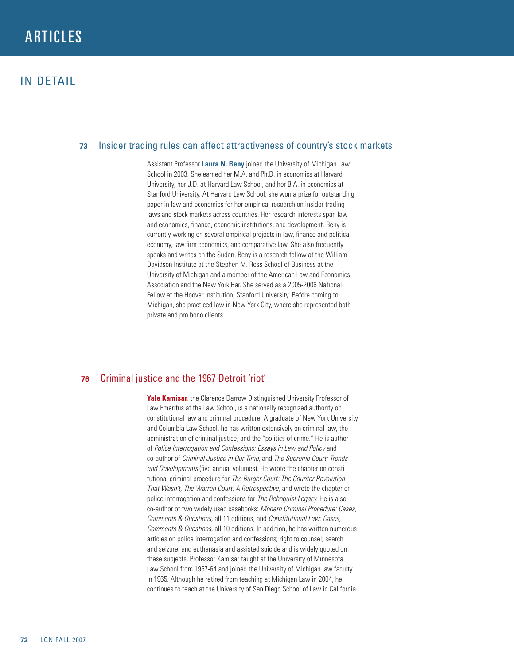# **ARTICLES**

## **73** Insider trading rules can affect attractiveness of country's stock markets

Assistant Professor **Laura N. Beny** joined the University of Michigan Law School in 2003. She earned her M.A. and Ph.D. in economics at Harvard University, her J.D. at Harvard Law School, and her B.A. in economics at Stanford University. At Harvard Law School, she won a prize for outstanding paper in law and economics for her empirical research on insider trading laws and stock markets across countries. Her research interests span law and economics, finance, economic institutions, and development. Beny is currently working on several empirical projects in law, finance and political economy, law firm economics, and comparative law. She also frequently speaks and writes on the Sudan. Beny is a research fellow at the William Davidson Institute at the Stephen M. Ross School of Business at the University of Michigan and a member of the American Law and Economics Association and the New York Bar. She served as a 2005-2006 National Fellow at the Hoover Institution, Stanford University. Before coming to Michigan, she practiced law in New York City, where she represented both private and pro bono clients.

## **76**  Criminal justice and the 1967 Detroit 'riot'

**Yale Kamisar,** the Clarence Darrow Distinguished University Professor of Law Emeritus at the Law School, is a nationally recognized authority on constitutional law and criminal procedure. A graduate of New York University and Columbia Law School, he has written extensively on criminal law, the administration of criminal justice, and the "politics of crime." He is author of *Police Interrogation and Confessions: Essays in Law and Policy* and co-author of *Criminal Justice in Our Time,* and *The Supreme Court: Trends and Developments* (five annual volumes). He wrote the chapter on constitutional criminal procedure for *The Burger Court: The Counter-Revolution That Wasn't, The Warren Court: A Retrospective,* and wrote the chapter on police interrogation and confessions for *The Rehnquist Legacy.* He is also co-author of two widely used casebooks: *Modern Criminal Procedure: Cases, Comments & Questions,* all 11 editions, and *Constitutional Law: Cases, Comments & Questions,* all 10 editions. In addition, he has written numerous articles on police interrogation and confessions; right to counsel; search and seizure; and euthanasia and assisted suicide and is widely quoted on these subjects. Professor Kamisar taught at the University of Minnesota Law School from 1957-64 and joined the University of Michigan law faculty in 1965. Although he retired from teaching at Michigan Law in 2004, he continues to teach at the University of San Diego School of Law in California.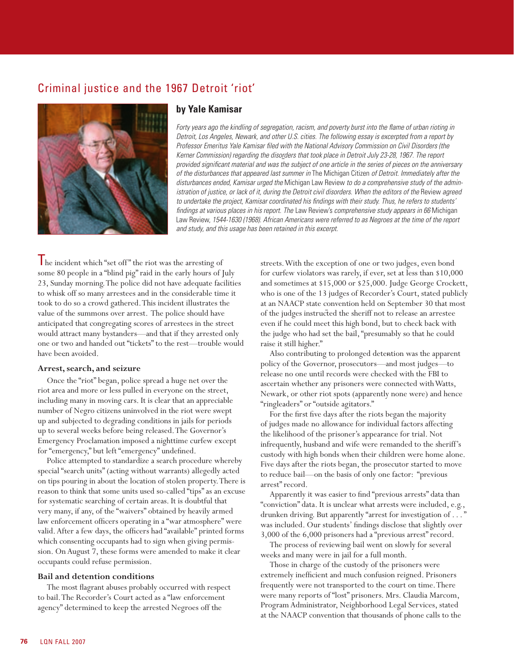# Criminal justice and the 1967 Detroit 'riot'



### **by Yale Kamisar**

*Forty years ago the kindling of segregation, racism, and poverty burst into the flame of urban rioting in Detroit, Los Angeles, Newark, and other U.S. cities. The following essay is excerpted from a report by Professor Emeritus Yale Kamisar filed with the National Advisory Commission on Civil Disorders (the Kerner Commission) regarding the disorders that took place in Detroit July 23-28, 1967. The report provided significant material and was the subject of one article in the series of pieces on the anniversary of the disturbances that appeared last summer in* The Michigan Citizen *of Detroit. Immediately after the disturbances ended, Kamisar urged the* Michigan Law Review *to do a comprehensive study of the administration of justice, or lack of it, during the Detroit civil disorders. When the editors of the Review agreed to undertake the project, Kamisar coordinated his findings with their study. Thus, he refers to students' findings at various places in his report. The* Law Review's *comprehensive study appears in 66* Michigan Law Review, *1544-1630 (1968). African Americans were referred to as Negroes at the time of the report and study, and this usage has been retained in this excerpt.*

The incident which "set off " the riot was the arresting of some 80 people in a "blind pig" raid in the early hours of July 23, Sunday morning. The police did not have adequate facilities to whisk off so many arrestees and in the considerable time it took to do so a crowd gathered. This incident illustrates the value of the summons over arrest. The police should have anticipated that congregating scores of arrestees in the street would attract many bystanders—and that if they arrested only one or two and handed out "tickets" to the rest—trouble would have been avoided.

### **Arrest, search, and seizure**

Once the "riot" began, police spread a huge net over the riot area and more or less pulled in everyone on the street, including many in moving cars. It is clear that an appreciable number of Negro citizens uninvolved in the riot were swept up and subjected to degrading conditions in jails for periods up to several weeks before being released. The Governor's Emergency Proclamation imposed a nighttime curfew except for "emergency," but left "emergency" undefined.

Police attempted to standardize a search procedure whereby special "search units" (acting without warrants) allegedly acted on tips pouring in about the location of stolen property. There is reason to think that some units used so-called "tips" as an excuse for systematic searching of certain areas. It is doubtful that very many, if any, of the "waivers" obtained by heavily armed law enforcement officers operating in a "war atmosphere" were valid. After a few days, the officers had "available" printed forms which consenting occupants had to sign when giving permission. On August 7, these forms were amended to make it clear occupants could refuse permission.

#### **Bail and detention conditions**

The most flagrant abuses probably occurred with respect to bail. The Recorder's Court acted as a "law enforcement agency" determined to keep the arrested Negroes off the

streets. With the exception of one or two judges, even bond for curfew violators was rarely, if ever, set at less than \$10,000 and sometimes at \$15,000 or \$25,000. Judge George Crockett, who is one of the 13 judges of Recorder's Court, stated publicly at an NAACP state convention held on September 30 that most of the judges instructed the sheriff not to release an arrestee even if he could meet this high bond, but to check back with the judge who had set the bail, "presumably so that he could raise it still higher."

Also contributing to prolonged detention was the apparent policy of the Governor, prosecutors—and most judges—to release no one until records were checked with the FBI to ascertain whether any prisoners were connected with Watts, Newark, or other riot spots (apparently none were) and hence "ringleaders" or "outside agitators."

For the first five days after the riots began the majority of judges made no allowance for individual factors affecting the likelihood of the prisoner's appearance for trial. Not infrequently, husband and wife were remanded to the sheriff's custody with high bonds when their children were home alone. Five days after the riots began, the prosecutor started to move to reduce bail—on the basis of only one factor: "previous arrest" record.

Apparently it was easier to find "previous arrests" data than "conviction" data. It is unclear what arrests were included, e.g., drunken driving. But apparently "arrest for investigation of . . . " was included. Our students' findings disclose that slightly over 3,000 of the 6,000 prisoners had a "previous arrest" record.

The process of reviewing bail went on slowly for several weeks and many were in jail for a full month.

Those in charge of the custody of the prisoners were extremely inefficient and much confusion reigned. Prisoners frequently were not transported to the court on time. There were many reports of "lost" prisoners. Mrs. Claudia Marcom, Program Administrator, Neighborhood Legal Services, stated at the NAACP convention that thousands of phone calls to the